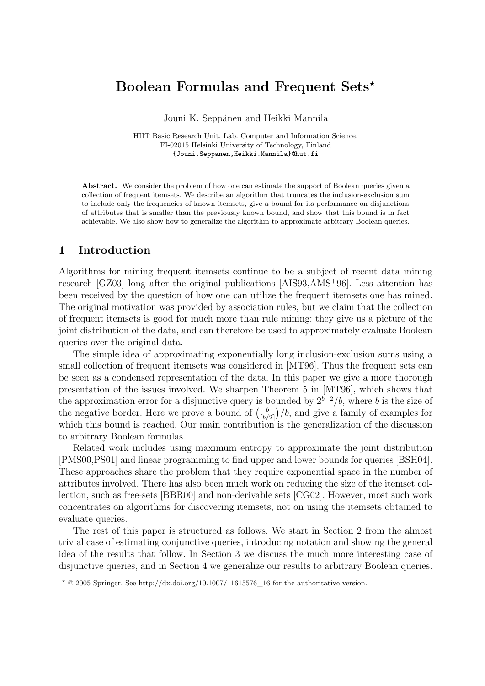# **Boolean Formulas and Frequent Sets**?

Jouni K. Seppänen and Heikki Mannila

HIIT Basic Research Unit, Lab. Computer and Information Science, FI-02015 Helsinki University of Technology, Finland {Jouni.Seppanen,Heikki.Mannila}@hut.fi

Abstract. We consider the problem of how one can estimate the support of Boolean queries given a collection of frequent itemsets. We describe an algorithm that truncates the inclusion-exclusion sum to include only the frequencies of known itemsets, give a bound for its performance on disjunctions of attributes that is smaller than the previously known bound, and show that this bound is in fact achievable. We also show how to generalize the algorithm to approximate arbitrary Boolean queries.

# **1 Introduction**

Algorithms for mining frequent itemsets continue to be a subject of recent data mining research [GZ03] long after the original publications [AIS93,AMS<sup>+</sup>96]. Less attention has been received by the question of how one can utilize the frequent itemsets one has mined. The original motivation was provided by association rules, but we claim that the collection of frequent itemsets is good for much more than rule mining: they give us a picture of the joint distribution of the data, and can therefore be used to approximately evaluate Boolean queries over the original data.

The simple idea of approximating exponentially long inclusion-exclusion sums using a small collection of frequent itemsets was considered in [MT96]. Thus the frequent sets can be seen as a condensed representation of the data. In this paper we give a more thorough presentation of the issues involved. We sharpen Theorem 5 in [MT96], which shows that the approximation error for a disjunctive query is bounded by  $2^{b-2}/b$ , where b is the size of the negative border. Here we prove a bound of  $\binom{b}{b}$  $\binom{b}{b/2}$ /b, and give a family of examples for which this bound is reached. Our main contribution is the generalization of the discussion to arbitrary Boolean formulas.

Related work includes using maximum entropy to approximate the joint distribution [PMS00,PS01] and linear programming to find upper and lower bounds for queries [BSH04]. These approaches share the problem that they require exponential space in the number of attributes involved. There has also been much work on reducing the size of the itemset collection, such as free-sets [BBR00] and non-derivable sets [CG02]. However, most such work concentrates on algorithms for discovering itemsets, not on using the itemsets obtained to evaluate queries.

The rest of this paper is structured as follows. We start in Section 2 from the almost trivial case of estimating conjunctive queries, introducing notation and showing the general idea of the results that follow. In Section 3 we discuss the much more interesting case of disjunctive queries, and in Section 4 we generalize our results to arbitrary Boolean queries.

 $*$  © 2005 Springer. See http://dx.doi.org/10.1007/11615576\_16 for the authoritative version.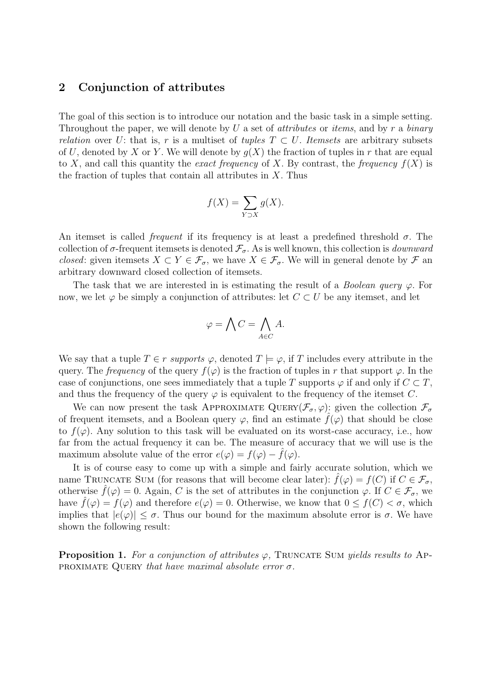## **2 Conjunction of attributes**

The goal of this section is to introduce our notation and the basic task in a simple setting. Throughout the paper, we will denote by U a set of *attributes* or *items*, and by r a *binary relation* over U: that is, r is a multiset of *tuples*  $T \subset U$ . *Itemsets* are arbitrary subsets of U, denoted by X or Y. We will denote by  $q(X)$  the fraction of tuples in r that are equal to X, and call this quantity the *exact frequency* of X. By contrast, the *frequency*  $f(X)$  is the fraction of tuples that contain all attributes in  $X$ . Thus

$$
f(X) = \sum_{Y \supset X} g(X).
$$

An itemset is called *frequent* if its frequency is at least a predefined threshold  $\sigma$ . The collection of  $\sigma$ -frequent itemsets is denoted  $\mathcal{F}_{\sigma}$ . As is well known, this collection is *downward closed*: given itemsets  $X \subset Y \in \mathcal{F}_{\sigma}$ , we have  $X \in \mathcal{F}_{\sigma}$ . We will in general denote by  $\mathcal F$  an arbitrary downward closed collection of itemsets.

The task that we are interested in is estimating the result of a *Boolean query*  $\varphi$ . For now, we let  $\varphi$  be simply a conjunction of attributes: let  $C \subset U$  be any itemset, and let

$$
\varphi = \bigwedge C = \bigwedge_{A \in C} A.
$$

We say that a tuple  $T \in r$  *supports*  $\varphi$ , denoted  $T \models \varphi$ , if T includes every attribute in the query. The *frequency* of the query  $f(\varphi)$  is the fraction of tuples in r that support  $\varphi$ . In the case of conjunctions, one sees immediately that a tuple T supports  $\varphi$  if and only if  $C \subset T$ , and thus the frequency of the query  $\varphi$  is equivalent to the frequency of the itemset C.

We can now present the task APPROXIMATE QUERY( $\mathcal{F}_{\sigma}$ ,  $\varphi$ ): given the collection  $\mathcal{F}_{\sigma}$ of frequent itemsets, and a Boolean query  $\varphi$ , find an estimate  $\hat{f}(\varphi)$  that should be close to  $f(\varphi)$ . Any solution to this task will be evaluated on its worst-case accuracy, i.e., how far from the actual frequency it can be. The measure of accuracy that we will use is the maximum absolute value of the error  $e(\varphi) = f(\varphi) - \tilde{f}(\varphi)$ .

It is of course easy to come up with a simple and fairly accurate solution, which we name TRUNCATE SUM (for reasons that will become clear later):  $\hat{f}(\varphi) = f(C)$  if  $C \in \mathcal{F}_{\sigma}$ , otherwise  $\hat{f}(\varphi) = 0$ . Again, C is the set of attributes in the conjunction  $\varphi$ . If  $C \in \mathcal{F}_{\sigma}$ , we have  $\hat{f}(\varphi) = f(\varphi)$  and therefore  $e(\varphi) = 0$ . Otherwise, we know that  $0 \leq f(C) < \sigma$ , which implies that  $|e(\varphi)| \leq \sigma$ . Thus our bound for the maximum absolute error is  $\sigma$ . We have shown the following result:

**Proposition 1.** For a conjunction of attributes  $\varphi$ , TRUNCATE SUM *yields results to* Approximate Query *that have maximal absolute error* σ*.*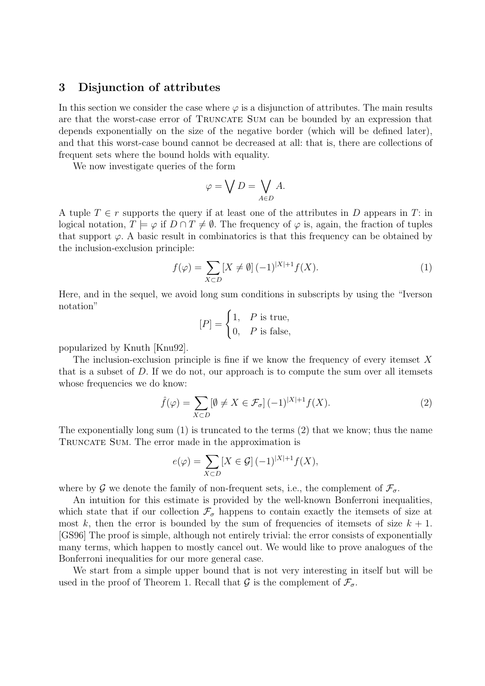## **3 Disjunction of attributes**

In this section we consider the case where  $\varphi$  is a disjunction of attributes. The main results are that the worst-case error of TRUNCATE SUM can be bounded by an expression that depends exponentially on the size of the negative border (which will be defined later), and that this worst-case bound cannot be decreased at all: that is, there are collections of frequent sets where the bound holds with equality.

We now investigate queries of the form

$$
\varphi = \bigvee D = \bigvee_{A \in D} A.
$$

A tuple  $T \in r$  supports the query if at least one of the attributes in D appears in T: in logical notation,  $T \models \varphi$  if  $D \cap T \neq \emptyset$ . The frequency of  $\varphi$  is, again, the fraction of tuples that support  $\varphi$ . A basic result in combinatorics is that this frequency can be obtained by the inclusion-exclusion principle:

$$
f(\varphi) = \sum_{X \subset D} [X \neq \emptyset] (-1)^{|X|+1} f(X).
$$
 (1)

Here, and in the sequel, we avoid long sum conditions in subscripts by using the "Iverson notation"

$$
[P] = \begin{cases} 1, & P \text{ is true,} \\ 0, & P \text{ is false,} \end{cases}
$$

popularized by Knuth [Knu92].

The inclusion-exclusion principle is fine if we know the frequency of every itemset  $X$ that is a subset of D. If we do not, our approach is to compute the sum over all itemsets whose frequencies we do know:

$$
\hat{f}(\varphi) = \sum_{X \subset D} [\emptyset \neq X \in \mathcal{F}_{\sigma}] (-1)^{|X|+1} f(X). \tag{2}
$$

The exponentially long sum (1) is truncated to the terms (2) that we know; thus the name Truncate Sum. The error made in the approximation is

$$
e(\varphi) = \sum_{X \subset D} [X \in \mathcal{G}] (-1)^{|X|+1} f(X),
$$

where by G we denote the family of non-frequent sets, i.e., the complement of  $\mathcal{F}_{\sigma}$ .

An intuition for this estimate is provided by the well-known Bonferroni inequalities, which state that if our collection  $\mathcal{F}_{\sigma}$  happens to contain exactly the itemsets of size at most k, then the error is bounded by the sum of frequencies of itemsets of size  $k + 1$ . [GS96] The proof is simple, although not entirely trivial: the error consists of exponentially many terms, which happen to mostly cancel out. We would like to prove analogues of the Bonferroni inequalities for our more general case.

We start from a simple upper bound that is not very interesting in itself but will be used in the proof of Theorem 1. Recall that  $\mathcal G$  is the complement of  $\mathcal F_{\sigma}$ .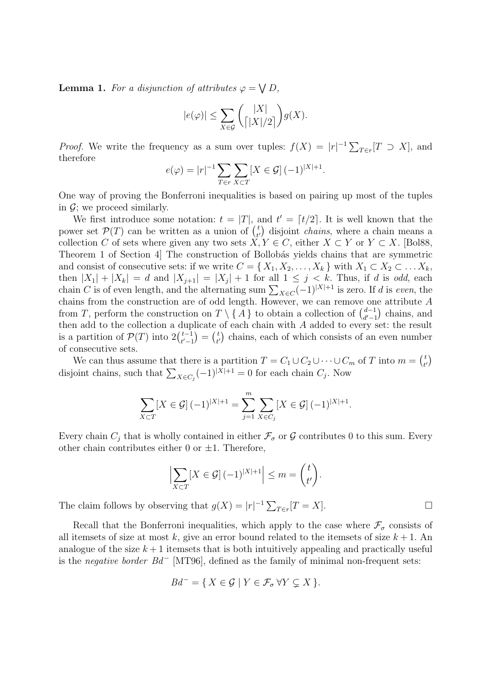**Lemma 1.** For a disjunction of attributes  $\varphi = \bigvee D$ ,

$$
|e(\varphi)| \le \sum_{X \in \mathcal{G}} \binom{|X|}{\lceil |X|/2\rceil} g(X).
$$

*Proof.* We write the frequency as a sum over tuples:  $f(X) = |r|^{-1} \sum_{T \in r} [T \supset X]$ , and therefore

$$
e(\varphi) = |r|^{-1} \sum_{T \in r} \sum_{X \subset T} [X \in \mathcal{G}] (-1)^{|X|+1}.
$$

One way of proving the Bonferroni inequalities is based on pairing up most of the tuples in  $\mathcal{G}$ ; we proceed similarly.

We first introduce some notation:  $t = |T|$ , and  $t' = [t/2]$ . It is well known that the power set  $\mathcal{P}(T)$  can be written as a union of  $\binom{t}{t}$  $_{t'}^{t}$  disjoint *chains*, where a chain means a collection C of sets where given any two sets  $X, Y \in C$ , either  $X \subset Y$  or  $Y \subset X$ . [Bol88, Theorem 1 of Section 4] The construction of Bollobás yields chains that are symmetric and consist of consecutive sets: if we write  $C = \{X_1, X_2, \ldots, X_k\}$  with  $X_1 \subset X_2 \subset \ldots X_k$ , then  $|X_1| + |X_k| = d$  and  $|X_{j+1}| = |X_j| + 1$  for all  $1 \leq j \leq k$ . Thus, if d is *odd*, each chain C is of even length, and the alternating sum  $\sum_{X \in C} (-1)^{|X|+1}$  is zero. If d is *even*, the chains from the construction are of odd length. However, we can remove one attribute A from T, perform the construction on  $T \setminus \{A\}$  to obtain a collection of  $\binom{d-1}{d'-1}$  $\binom{d-1}{d'-1}$  chains, and then add to the collection a duplicate of each chain with A added to every set: the result is a partition of  $\mathcal{P}(T)$  into  $2\binom{t-1}{t-1}$  $t-1 \choose t'-1} = \binom{t}{t'}$  $(t \atop t')$  chains, each of which consists of an even number of consecutive sets.

We can thus assume that there is a partition  $T = C_1 \cup C_2 \cup \cdots \cup C_m$  of T into  $m = \binom{t}{k}$  $\binom{t}{t'}$ disjoint chains, such that  $\sum_{X \in C_j} (-1)^{|X|+1} = 0$  for each chain  $C_j$ . Now

$$
\sum_{X \subset T} [X \in \mathcal{G}] (-1)^{|X|+1} = \sum_{j=1}^{m} \sum_{X \in C_j} [X \in \mathcal{G}] (-1)^{|X|+1}.
$$

Every chain  $C_i$  that is wholly contained in either  $\mathcal{F}_{\sigma}$  or  $\mathcal G$  contributes 0 to this sum. Every other chain contributes either 0 or  $\pm 1$ . Therefore,

$$
\left|\sum_{X\subset T} [X\in\mathcal{G}] (-1)^{|X|+1}\right| \leq m = \binom{t}{t'}.
$$

The claim follows by observing that  $g(X) = |r|^{-1} \sum_{T \in r} [T = X].$ 

Recall that the Bonferroni inequalities, which apply to the case where  $\mathcal{F}_{\sigma}$  consists of all itemsets of size at most k, give an error bound related to the itemsets of size  $k + 1$ . An analogue of the size  $k+1$  itemsets that is both intuitively appealing and practically useful is the *negative border*  $Bd^-$  [MT96], defined as the family of minimal non-frequent sets:

$$
Bd^{-} = \{ X \in \mathcal{G} \mid Y \in \mathcal{F}_{\sigma} \forall Y \subsetneq X \}.
$$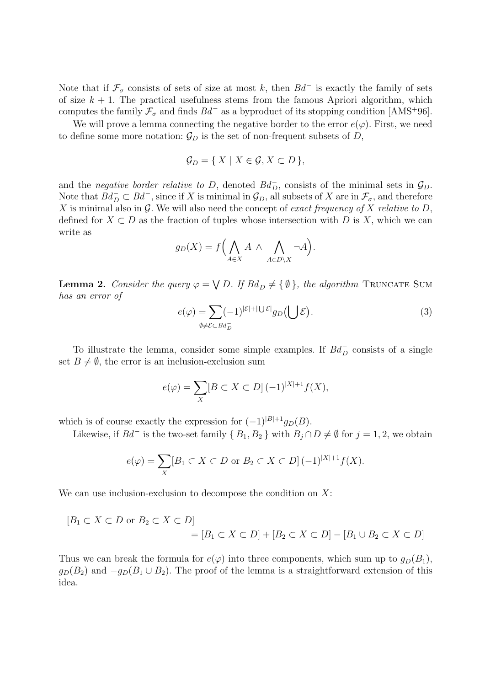Note that if  $\mathcal{F}_{\sigma}$  consists of sets of size at most k, then  $Bd^-$  is exactly the family of sets of size  $k + 1$ . The practical usefulness stems from the famous Apriori algorithm, which computes the family  $\mathcal{F}_{\sigma}$  and finds  $Bd^-$  as a byproduct of its stopping condition [AMS<sup>+96]</sup>.

We will prove a lemma connecting the negative border to the error  $e(\varphi)$ . First, we need to define some more notation:  $\mathcal{G}_D$  is the set of non-frequent subsets of D,

$$
\mathcal{G}_D = \{ X \mid X \in \mathcal{G}, X \subset D \},
$$

and the *negative border relative to D*, denoted  $Bd_D^-$ , consists of the minimal sets in  $\mathcal{G}_D$ . Note that  $Bd_D^- \subset Bd^-$ , since if X is minimal in  $\mathcal{G}_D$ , all subsets of X are in  $\mathcal{F}_\sigma$ , and therefore X is minimal also in G. We will also need the concept of *exact frequency of* X *relative to* D, defined for  $X \subset D$  as the fraction of tuples whose intersection with D is X, which we can write as

$$
g_D(X) = f\left(\bigwedge_{A \in X} A \wedge \bigwedge_{A \in D \setminus X} \neg A\right).
$$

**Lemma 2.** *Consider the query*  $\varphi = \bigvee D$ . If  $Bd_D^- \neq {\emptyset}$ , the algorithm TRUNCATE SUM *has an error of*

$$
e(\varphi) = \sum_{\emptyset \neq \mathcal{E} \subset B d_D^-} (-1)^{|\mathcal{E}| + |\bigcup \mathcal{E}|} g_D(\bigcup \mathcal{E}). \tag{3}
$$

To illustrate the lemma, consider some simple examples. If  $Bd_D^-$  consists of a single set  $B \neq \emptyset$ , the error is an inclusion-exclusion sum

$$
e(\varphi) = \sum_{X} [B \subset X \subset D] (-1)^{|X|+1} f(X),
$$

which is of course exactly the expression for  $(-1)^{|B|+1}g_D(B)$ .

Likewise, if  $Bd^-$  is the two-set family  $\{B_1, B_2\}$  with  $B_j \cap D \neq \emptyset$  for  $j = 1, 2$ , we obtain

$$
e(\varphi) = \sum_X [B_1 \subset X \subset D \text{ or } B_2 \subset X \subset D] (-1)^{|X|+1} f(X).
$$

We can use inclusion-exclusion to decompose the condition on  $X$ :

$$
[B_1 \subset X \subset D \text{ or } B_2 \subset X \subset D]
$$
  
= 
$$
[B_1 \subset X \subset D] + [B_2 \subset X \subset D] - [B_1 \cup B_2 \subset X \subset D]
$$

Thus we can break the formula for  $e(\varphi)$  into three components, which sum up to  $g_D(B_1)$ ,  $g_D(B_2)$  and  $-g_D(B_1 \cup B_2)$ . The proof of the lemma is a straightforward extension of this idea.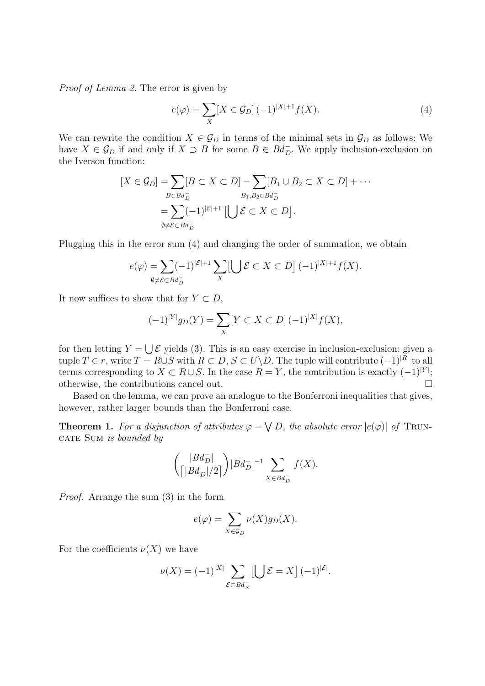*Proof of Lemma 2.* The error is given by

$$
e(\varphi) = \sum_{X} [X \in \mathcal{G}_D] (-1)^{|X|+1} f(X).
$$
 (4)

We can rewrite the condition  $X \in \mathcal{G}_D$  in terms of the minimal sets in  $\mathcal{G}_D$  as follows: We have  $X \in \mathcal{G}_D$  if and only if  $X \supset B$  for some  $B \in Bd_D^-$ . We apply inclusion-exclusion on the Iverson function:

$$
[X \in \mathcal{G}_D] = \sum_{B \in B d_D^-} [B \subset X \subset D] - \sum_{B_1, B_2 \in B d_D^-} [B_1 \cup B_2 \subset X \subset D] + \cdots
$$
  
= 
$$
\sum_{\emptyset \neq \mathcal{E} \subset B d_D^-} (-1)^{|\mathcal{E}|+1} [\bigcup \mathcal{E} \subset X \subset D].
$$

Plugging this in the error sum (4) and changing the order of summation, we obtain

$$
e(\varphi) = \sum_{\emptyset \neq \mathcal{E} \subset Bd_D^-} (-1)^{|\mathcal{E}|+1} \sum_X \left[ \bigcup \mathcal{E} \subset X \subset D \right] (-1)^{|X|+1} f(X).
$$

It now suffices to show that for  $Y \subset D$ ,

$$
(-1)^{|Y|}g_D(Y) = \sum_X [Y \subset X \subset D] (-1)^{|X|} f(X),
$$

for then letting  $Y = \bigcup \mathcal{E}$  yields (3). This is an easy exercise in inclusion-exclusion: given a tuple  $T \in r$ , write  $T = R \cup S$  with  $R \subset D$ ,  $S \subset U \backslash D$ . The tuple will contribute  $(-1)^{|R|}$  to all terms corresponding to  $X \subset R \cup S$ . In the case  $R = Y$ , the contribution is exactly  $(-1)^{|Y|}$ ; otherwise, the contributions cancel out.

Based on the lemma, we can prove an analogue to the Bonferroni inequalities that gives, however, rather larger bounds than the Bonferroni case.

**Theorem 1.** For a disjunction of attributes  $\varphi = \bigvee D$ , the absolute error  $|e(\varphi)|$  of TRUNcate Sum *is bounded by*

$$
\binom{|Bd_D^-|}{\big\lceil|Bd_D^-|/2\big\rceil}|Bd_D^-|^{-1}\sum_{X\in Bd_D^-}f(X).
$$

*Proof.* Arrange the sum (3) in the form

$$
e(\varphi) = \sum_{X \in \mathcal{G}_D} \nu(X) g_D(X).
$$

For the coefficients  $\nu(X)$  we have

$$
\nu(X) = (-1)^{|X|} \sum_{\mathcal{E} \subset B d_X^-} \left[ \bigcup \mathcal{E} = X \right] (-1)^{|\mathcal{E}|}.
$$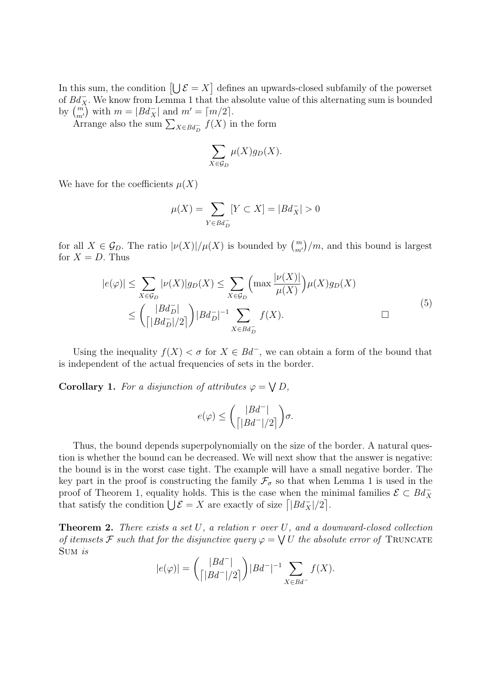In this sum, the condition  $[\bigcup \mathcal{E} = X]$  defines an upwards-closed subfamily of the powerset of  $Bd_X^-$ . We know from Lemma 1 that the absolute value of this alternating sum is bounded by  $\binom{m}{m'}$  with  $m = |Bd_X^-|$  and  $m' = \lceil m/2 \rceil$ .

Arrange also the sum  $\sum_{X \in B_d} f(X)$  in the form

$$
\sum_{X \in \mathcal{G}_D} \mu(X) g_D(X).
$$

We have for the coefficients  $\mu(X)$ 

$$
\mu(X) = \sum_{Y \in B d_D^-} [Y \subset X] = |B d_X^-| > 0
$$

for all  $X \in \mathcal{G}_D$ . The ratio  $|\nu(X)|/\mu(X)$  is bounded by  $\binom{m}{m'}/m$ , and this bound is largest for  $X = D$ . Thus

$$
|e(\varphi)| \leq \sum_{X \in \mathcal{G}_D} |\nu(X)| g_D(X) \leq \sum_{X \in \mathcal{G}_D} \left( \max \frac{|\nu(X)|}{\mu(X)} \right) \mu(X) g_D(X)
$$
  

$$
\leq \left( \frac{|Bd_D^-|}{\left| |Bd_D^-|/2 \right|} \right) |Bd_D^-|^{-1} \sum_{X \in Bd_D^-} f(X).
$$

Using the inequality  $f(X) < \sigma$  for  $X \in Bd^-$ , we can obtain a form of the bound that is independent of the actual frequencies of sets in the border.

**Corollary 1.** For a disjunction of attributes  $\varphi = \bigvee D$ ,

$$
e(\varphi) \le \binom{|Bd^-|}{\lceil|Bd^-|/2\rceil} \sigma.
$$

Thus, the bound depends superpolynomially on the size of the border. A natural question is whether the bound can be decreased. We will next show that the answer is negative: the bound is in the worst case tight. The example will have a small negative border. The key part in the proof is constructing the family  $\mathcal{F}_{\sigma}$  so that when Lemma 1 is used in the proof of Theorem 1, equality holds. This is the case when the minimal families  $\mathcal{E} \subset Bd_X^$ that satisfy the condition  $\bigcup \mathcal{E} = X$  are exactly of size  $\left[ |B_d(x)|/2 \right]$ .

**Theorem 2.** *There exists a set* U*, a relation* r *over* U*, and a downward-closed collection of itemsets*  $\mathcal F$  *such that for the disjunctive query*  $\varphi = \bigvee U$  *the absolute error of* TRUNCATE Sum *is*

$$
|e(\varphi)| = \binom{|Bd^-|}{\lceil|Bd^-\rceil/2\rceil} |Bd^-\rceil^{-1} \sum_{X \in Bd^-} f(X).
$$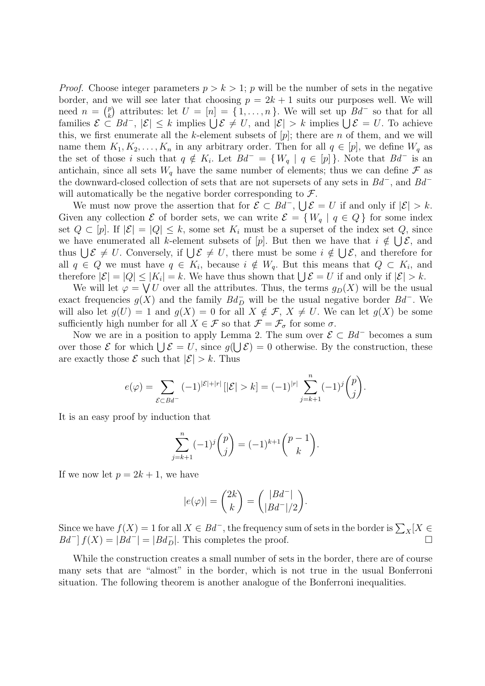*Proof.* Choose integer parameters  $p > k > 1$ ; p will be the number of sets in the negative border, and we will see later that choosing  $p = 2k + 1$  suits our purposes well. We will need  $n = \binom{p}{k}$ <sup>p</sup><sub>k</sub>) attributes: let  $U = [n] = \{1, ..., n\}$ . We will set up  $Bd^-$  so that for all families  $\mathcal{E} \subset \mathcal{B}d^{-}$ ,  $|\mathcal{E}| \leq k$  implies  $\bigcup \mathcal{E} \neq U$ , and  $|\mathcal{E}| > k$  implies  $\bigcup \mathcal{E} = U$ . To achieve this, we first enumerate all the k-element subsets of  $[p]$ ; there are n of them, and we will name them  $K_1, K_2, \ldots, K_n$  in any arbitrary order. Then for all  $q \in [p]$ , we define  $W_q$  as the set of those i such that  $q \notin K_i$ . Let  $Bd^- = \{W_q | q \in [p]\}\.$  Note that  $Bd^-$  is an antichain, since all sets  $W_q$  have the same number of elements; thus we can define  $\mathcal F$  as the downward-closed collection of sets that are not supersets of any sets in  $Bd^-$ , and  $Bd^$ will automatically be the negative border corresponding to  $\mathcal{F}$ .

We must now prove the assertion that for  $\mathcal{E} \subset Bd^-$ ,  $\bigcup \mathcal{E} = U$  if and only if  $|\mathcal{E}| > k$ . Given any collection  $\mathcal E$  of border sets, we can write  $\mathcal E = \{W_a \mid q \in Q\}$  for some index set  $Q \subset [p]$ . If  $|\mathcal{E}| = |Q| \leq k$ , some set  $K_i$  must be a superset of the index set  $Q$ , since we have enumerated all k-element subsets of [p]. But then we have that  $i \notin \bigcup \mathcal{E}$ , and thus  $\bigcup \mathcal{E} \neq U$ . Conversely, if  $\bigcup \mathcal{E} \neq U$ , there must be some  $i \notin \bigcup \mathcal{E}$ , and therefore for all  $q \in Q$  we must have  $q \in K_i$ , because  $i \notin W_q$ . But this means that  $Q \subset K_i$ , and therefore  $|\mathcal{E}| = |Q| \leq |K_i| = k$ . We have thus shown that  $\bigcup \mathcal{E} = U$  if and only if  $|\mathcal{E}| > k$ .

We will let  $\varphi = \bigvee U$  over all the attributes. Thus, the terms  $g_D(X)$  will be the usual exact frequencies  $g(X)$  and the family  $Bd_D^-$  will be the usual negative border  $Bd^-$ . We will also let  $g(U) = 1$  and  $g(X) = 0$  for all  $X \notin \mathcal{F}$ ,  $X \neq U$ . We can let  $g(X)$  be some sufficiently high number for all  $X \in \mathcal{F}$  so that  $\mathcal{F} = \mathcal{F}_{\sigma}$  for some  $\sigma$ .

Now we are in a position to apply Lemma 2. The sum over  $\mathcal{E} \subset Bd^-$  becomes a sum over those  $\mathcal E$  for which  $\bigcup \mathcal E = U$ , since  $g(\bigcup \mathcal E) = 0$  otherwise. By the construction, these are exactly those  $\mathcal E$  such that  $|\mathcal E| > k$ . Thus

$$
e(\varphi) = \sum_{\mathcal{E} \subset Bd^-} (-1)^{|\mathcal{E}| + |r|} [|\mathcal{E}| > k] = (-1)^{|r|} \sum_{j=k+1}^n (-1)^j {p \choose j}.
$$

It is an easy proof by induction that

$$
\sum_{j=k+1}^{n} (-1)^{j} {p \choose j} = (-1)^{k+1} {p-1 \choose k}.
$$

If we now let  $p = 2k + 1$ , we have

$$
|e(\varphi)| = \binom{2k}{k} = \binom{|Bd^-|}{|Bd^-|/2}.
$$

Since we have  $f(X) = 1$  for all  $X \in Bd^-$ , the frequency sum of sets in the border is  $\sum_X [X \in Bd^-]$  $Bd^{-}$   $f(X) = |Bd^{-}| = |Bd_{D}^{-}|$ . This completes the proof.

While the construction creates a small number of sets in the border, there are of course many sets that are "almost" in the border, which is not true in the usual Bonferroni situation. The following theorem is another analogue of the Bonferroni inequalities.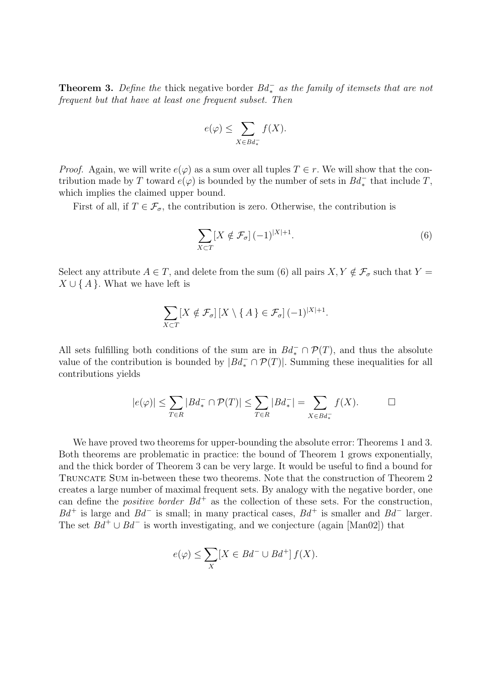**Theorem 3.** Define the thick negative border  $Bd_{\ast}^-$  as the family of itemsets that are not *frequent but that have at least one frequent subset. Then*

$$
e(\varphi) \le \sum_{X \in B d_*^-} f(X).
$$

*Proof.* Again, we will write  $e(\varphi)$  as a sum over all tuples  $T \in r$ . We will show that the contribution made by T toward  $e(\varphi)$  is bounded by the number of sets in  $Bd_*^-$  that include T, which implies the claimed upper bound.

First of all, if  $T \in \mathcal{F}_{\sigma}$ , the contribution is zero. Otherwise, the contribution is

$$
\sum_{X \subset T} [X \notin \mathcal{F}_{\sigma}] (-1)^{|X|+1}.
$$
 (6)

Select any attribute  $A \in T$ , and delete from the sum (6) all pairs  $X, Y \notin \mathcal{F}_{\sigma}$  such that  $Y =$  $X \cup \{A\}$ . What we have left is

$$
\sum_{X \subset T} [X \notin \mathcal{F}_{\sigma}] \left[ X \setminus \{ A \} \in \mathcal{F}_{\sigma} \right] (-1)^{|X|+1}.
$$

All sets fulfilling both conditions of the sum are in  $Bd_*^- \cap \mathcal{P}(T)$ , and thus the absolute value of the contribution is bounded by  $|Bd_*^- \cap \mathcal{P}(T)|$ . Summing these inequalities for all contributions yields

$$
|e(\varphi)| \le \sum_{T \in R} |B d_*^- \cap \mathcal{P}(T)| \le \sum_{T \in R} |B d_*^-| = \sum_{X \in B d_*^-} f(X). \qquad \Box
$$

We have proved two theorems for upper-bounding the absolute error: Theorems 1 and 3. Both theorems are problematic in practice: the bound of Theorem 1 grows exponentially, and the thick border of Theorem 3 can be very large. It would be useful to find a bound for TRUNCATE SUM in-between these two theorems. Note that the construction of Theorem 2 creates a large number of maximal frequent sets. By analogy with the negative border, one can define the *positive border*  $Bd^+$  as the collection of these sets. For the construction,  $Bd^+$  is large and  $Bd^-$  is small; in many practical cases,  $Bd^+$  is smaller and  $Bd^-$  larger. The set  $Bd^+ \cup Bd^-$  is worth investigating, and we conjecture (again [Man02]) that

$$
e(\varphi) \le \sum_X [X \in Bd^- \cup Bd^+] f(X).
$$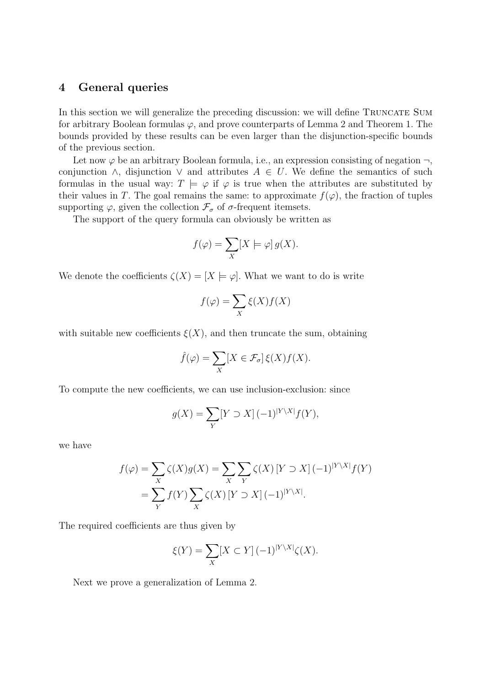## **4 General queries**

In this section we will generalize the preceding discussion: we will define TRUNCATE SUM for arbitrary Boolean formulas  $\varphi$ , and prove counterparts of Lemma 2 and Theorem 1. The bounds provided by these results can be even larger than the disjunction-specific bounds of the previous section.

Let now  $\varphi$  be an arbitrary Boolean formula, i.e., an expression consisting of negation  $\neg$ , conjunction  $\wedge$ , disjunction  $\vee$  and attributes  $A \in U$ . We define the semantics of such formulas in the usual way:  $T \models \varphi$  if  $\varphi$  is true when the attributes are substituted by their values in T. The goal remains the same: to approximate  $f(\varphi)$ , the fraction of tuples supporting  $\varphi$ , given the collection  $\mathcal{F}_{\sigma}$  of  $\sigma$ -frequent itemsets.

The support of the query formula can obviously be written as

$$
f(\varphi) = \sum_{X} [X \models \varphi] g(X).
$$

We denote the coefficients  $\zeta(X) = [X \models \varphi]$ . What we want to do is write

$$
f(\varphi) = \sum_{X} \xi(X) f(X)
$$

with suitable new coefficients  $\xi(X)$ , and then truncate the sum, obtaining

$$
\hat{f}(\varphi) = \sum_{X} [X \in \mathcal{F}_{\sigma}] \, \xi(X) f(X).
$$

To compute the new coefficients, we can use inclusion-exclusion: since

$$
g(X) = \sum_{Y} [Y \supset X] (-1)^{|Y \setminus X|} f(Y),
$$

we have

$$
f(\varphi) = \sum_{X} \zeta(X)g(X) = \sum_{X} \sum_{Y} \zeta(X) [Y \supset X] (-1)^{|Y \setminus X|} f(Y)
$$
  
= 
$$
\sum_{Y} f(Y) \sum_{X} \zeta(X) [Y \supset X] (-1)^{|Y \setminus X|}.
$$

The required coefficients are thus given by

$$
\xi(Y) = \sum_{X} [X \subset Y] (-1)^{|Y \setminus X|} \zeta(X).
$$

Next we prove a generalization of Lemma 2.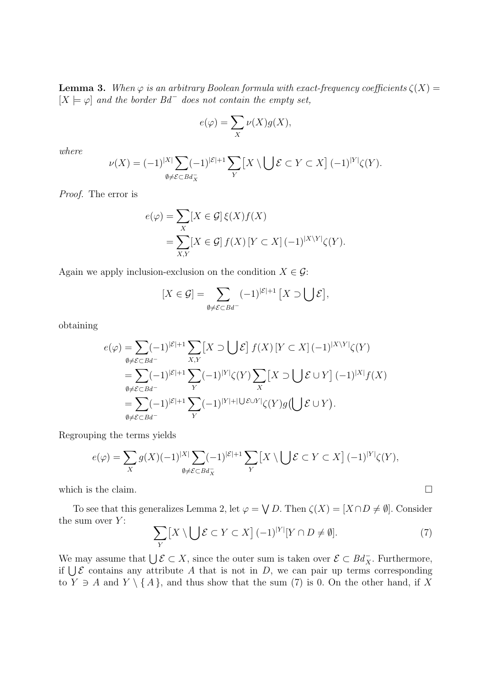**Lemma 3.** *When*  $\varphi$  *is an arbitrary Boolean formula with exact-frequency coefficients*  $\zeta(X)$  =  $[X \models \varphi]$  and the border  $Bd^-$  does not contain the empty set,

$$
e(\varphi) = \sum_{X} \nu(X)g(X),
$$

*where*

$$
\nu(X) = (-1)^{|X|} \sum_{\emptyset \neq \mathcal{E} \subset B d_X^-} (-1)^{|\mathcal{E}|+1} \sum_Y \left[ X \setminus \bigcup \mathcal{E} \subset Y \subset X \right] (-1)^{|Y|} \zeta(Y).
$$

*Proof.* The error is

$$
e(\varphi) = \sum_{X} [X \in \mathcal{G}] \xi(X) f(X)
$$
  
= 
$$
\sum_{X,Y} [X \in \mathcal{G}] f(X) [Y \subset X] (-1)^{|X \setminus Y|} \zeta(Y).
$$

Again we apply inclusion-exclusion on the condition  $X \in \mathcal{G}$ :

$$
[X \in \mathcal{G}] = \sum_{\emptyset \neq \mathcal{E} \subset Bd^-} (-1)^{|\mathcal{E}|+1} [X \supset \bigcup \mathcal{E}],
$$

obtaining

$$
e(\varphi) = \sum_{\substack{\emptyset \neq \mathcal{E} \subset Bd^{-} \\ \emptyset \neq \mathcal{E} \subset Bd^{-}}} (-1)^{|\mathcal{E}|+1} \sum_{X,Y} [X \supset \bigcup \mathcal{E}] f(X) [Y \subset X] (-1)^{|X \setminus Y|} \zeta(Y)
$$
  
\n
$$
= \sum_{\substack{\emptyset \neq \mathcal{E} \subset Bd^{-} \\ \emptyset \neq \mathcal{E} \subset Bd^{-}}} (-1)^{|\mathcal{E}|+1} \sum_{Y} (-1)^{|Y|+1} \bigcup \mathcal{E} \cup Y \big] \zeta(Y) g(\bigcup \mathcal{E} \cup Y).
$$

Regrouping the terms yields

$$
e(\varphi) = \sum_{X} g(X)(-1)^{|X|} \sum_{\emptyset \neq \mathcal{E} \subset B d_X^-} (-1)^{|\mathcal{E}|+1} \sum_{Y} \left[ X \setminus \bigcup \mathcal{E} \subset Y \subset X \right] (-1)^{|Y|} \zeta(Y),
$$

which is the claim.  $\Box$ 

To see that this generalizes Lemma 2, let  $\varphi = \bigvee D$ . Then  $\zeta(X) = [X \cap D \neq \emptyset]$ . Consider the sum over  $Y$ :

$$
\sum_{Y} [X \setminus \bigcup \mathcal{E} \subset Y \subset X] (-1)^{|Y|} [Y \cap D \neq \emptyset]. \tag{7}
$$

We may assume that  $\bigcup \mathcal{E} \subset X$ , since the outer sum is taken over  $\mathcal{E} \subset Bd_X^-$ . Furthermore, if  $\bigcup \mathcal{E}$  contains any attribute A that is not in D, we can pair up terms corresponding to  $Y \ni A$  and  $Y \setminus \{A\}$ , and thus show that the sum (7) is 0. On the other hand, if X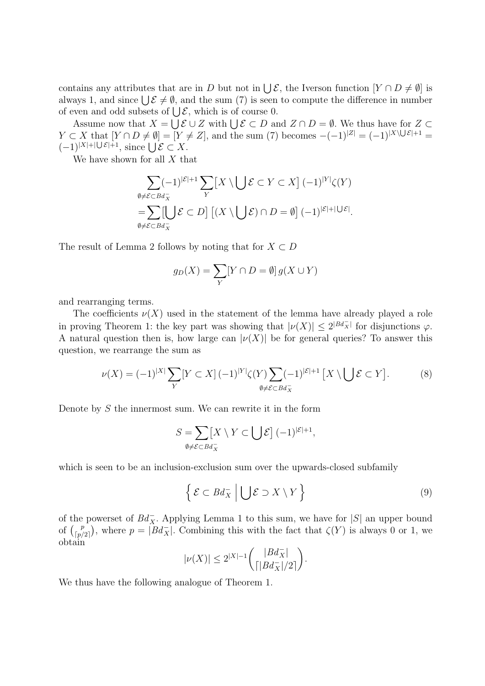contains any attributes that are in D but not in  $\bigcup \mathcal{E}$ , the Iverson function  $[Y \cap D \neq \emptyset]$  is always 1, and since  $\bigcup \mathcal{E} \neq \emptyset$ , and the sum (7) is seen to compute the difference in number of even and odd subsets of  $\bigcup \mathcal{E}$ , which is of course 0.

Assume now that  $X = \bigcup \mathcal{E} \cup Z$  with  $\bigcup \mathcal{E} \subset D$  and  $Z \cap D = \emptyset$ . We thus have for  $Z \subset D$  $Y \subset X$  that  $[Y \cap D \neq \emptyset] = [Y \neq Z]$ , and the sum (7) becomes  $-(-1)^{|Z|} = (-1)^{|X \setminus \bigcup \mathcal{E}|+1}$  $(-1)^{|X|+|\bigcup \mathcal{E}|+1}$ , since  $\bigcup \mathcal{E} \subset X$ .

We have shown for all  $X$  that

$$
\sum_{\emptyset \neq \mathcal{E} \subset Bd_X^-} (-1)^{|\mathcal{E}|+1} \sum_{Y} \left[ X \setminus \bigcup \mathcal{E} \subset Y \subset X \right] (-1)^{|Y|} \zeta(Y)
$$
  
= 
$$
\sum_{\emptyset \neq \mathcal{E} \subset Bd_X^-} \left[ \bigcup \mathcal{E} \subset D \right] \left[ (X \setminus \bigcup \mathcal{E}) \cap D = \emptyset \right] (-1)^{|\mathcal{E}|+|\bigcup \mathcal{E}|}.
$$

The result of Lemma 2 follows by noting that for  $X \subset D$ 

$$
g_D(X) = \sum_Y [Y \cap D = \emptyset] g(X \cup Y)
$$

and rearranging terms.

The coefficients  $\nu(X)$  used in the statement of the lemma have already played a role in proving Theorem 1: the key part was showing that  $|\nu(X)| \leq 2^{|Bd_X^-|}$  for disjunctions  $\varphi$ . A natural question then is, how large can  $|\nu(X)|$  be for general queries? To answer this question, we rearrange the sum as

$$
\nu(X) = (-1)^{|X|} \sum_{Y} [Y \subset X] (-1)^{|Y|} \zeta(Y) \sum_{\emptyset \neq \mathcal{E} \subset B d_X^-} (-1)^{|\mathcal{E}|+1} [X \setminus \bigcup \mathcal{E} \subset Y]. \tag{8}
$$

Denote by S the innermost sum. We can rewrite it in the form

$$
S = \sum_{\emptyset \neq \mathcal{E} \subset B d_X^-} [X \setminus Y \subset \bigcup \mathcal{E}] (-1)^{|\mathcal{E}|+1},
$$

which is seen to be an inclusion-exclusion sum over the upwards-closed subfamily

$$
\left\{ \mathcal{E} \subset B d_X^- \middle| \bigcup \mathcal{E} \supset X \setminus Y \right\} \tag{9}
$$

of the powerset of  $Bd_X^-$ . Applying Lemma 1 to this sum, we have for  $|S|$  an upper bound of  $\binom{p}{p}$  $\binom{p}{p/2}$ , where  $p = |Bd_X^-|$ . Combining this with the fact that  $\zeta(Y)$  is always 0 or 1, we obtain

$$
|\nu(X)|\leq 2^{|X|-1}\binom{|Bd_X^-|}{\lceil|Bd_X^-|/2\rceil}.
$$

We thus have the following analogue of Theorem 1.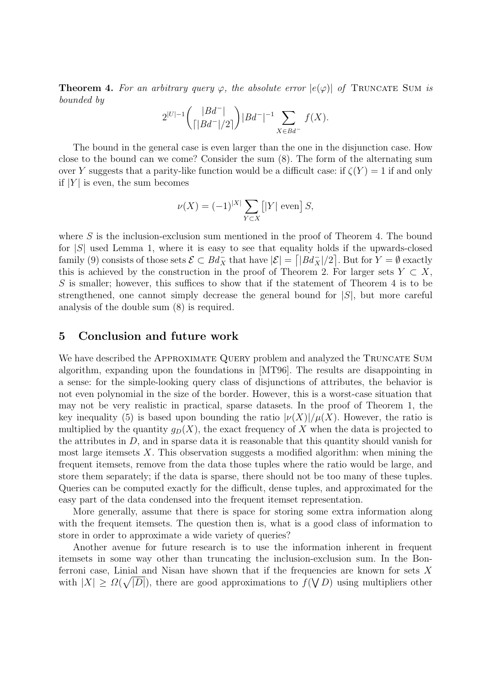**Theorem 4.** For an arbitrary query  $\varphi$ , the absolute error  $|e(\varphi)|$  of TRUNCATE SUM is *bounded by*

$$
2^{|U|-1} \binom{|Bd^-|}{\lceil|Bd^-\rceil/2\rceil} |Bd^-|^{-1} \sum_{X \in Bd^-} f(X).
$$

The bound in the general case is even larger than the one in the disjunction case. How close to the bound can we come? Consider the sum (8). The form of the alternating sum over Y suggests that a parity-like function would be a difficult case: if  $\zeta(Y) = 1$  if and only if  $|Y|$  is even, the sum becomes

$$
\nu(X) = (-1)^{|X|} \sum_{Y \subset X} [|Y| \text{ even}] S,
$$

where  $S$  is the inclusion-exclusion sum mentioned in the proof of Theorem 4. The bound for  $|S|$  used Lemma 1, where it is easy to see that equality holds if the upwards-closed family (9) consists of those sets  $\mathcal{E} \subset B d_X^-$  that have  $|\mathcal{E}| = |B d_X^-|/2|$ . But for  $Y = \emptyset$  exactly this is achieved by the construction in the proof of Theorem 2. For larger sets  $Y \subset X$ , S is smaller; however, this suffices to show that if the statement of Theorem 4 is to be strengthened, one cannot simply decrease the general bound for  $|S|$ , but more careful analysis of the double sum (8) is required.

### **5 Conclusion and future work**

We have described the APPROXIMATE QUERY problem and analyzed the TRUNCATE SUM algorithm, expanding upon the foundations in [MT96]. The results are disappointing in a sense: for the simple-looking query class of disjunctions of attributes, the behavior is not even polynomial in the size of the border. However, this is a worst-case situation that may not be very realistic in practical, sparse datasets. In the proof of Theorem 1, the key inequality (5) is based upon bounding the ratio  $|\nu(X)|/\mu(X)$ . However, the ratio is multiplied by the quantity  $q_D(X)$ , the exact frequency of X when the data is projected to the attributes in  $D$ , and in sparse data it is reasonable that this quantity should vanish for most large itemsets X. This observation suggests a modified algorithm: when mining the frequent itemsets, remove from the data those tuples where the ratio would be large, and store them separately; if the data is sparse, there should not be too many of these tuples. Queries can be computed exactly for the difficult, dense tuples, and approximated for the easy part of the data condensed into the frequent itemset representation.

More generally, assume that there is space for storing some extra information along with the frequent itemsets. The question then is, what is a good class of information to store in order to approximate a wide variety of queries?

Another avenue for future research is to use the information inherent in frequent itemsets in some way other than truncating the inclusion-exclusion sum. In the Bonferroni case, Linial and Nisan have shown that if the frequencies are known for sets  $X$ with  $|X| \geq \Omega(\sqrt{|D|})$ , there are good approximations to  $f(\bigvee D)$  using multipliers other